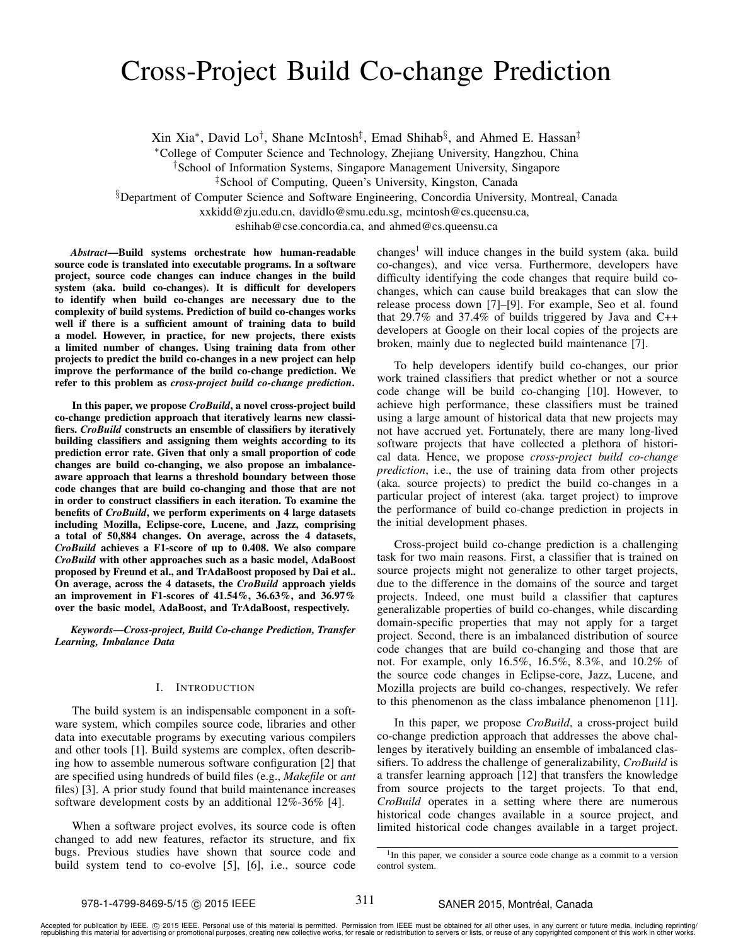# Cross-Project Build Co-change Prediction

Xin Xia<sup>∗</sup>, David Lo<sup>†</sup>, Shane McIntosh<sup>‡</sup>, Emad Shihab<sup>§</sup>, and Ahmed E. Hassan<sup>‡</sup>

<sup>∗</sup>College of Computer Science and Technology, Zhejiang University, Hangzhou, China

†School of Information Systems, Singapore Management University, Singapore

§Department of Computer Science and Software Engineering, Concordia University, Montreal, Canada

xxkidd@zju.edu.cn, davidlo@smu.edu.sg, mcintosh@cs.queensu.ca,

eshihab@cse.concordia.ca, and ahmed@cs.queensu.ca

*Abstract*—Build systems orchestrate how human-readable source code is translated into executable programs. In a software project, source code changes can induce changes in the build system (aka. build co-changes). It is difficult for developers to identify when build co-changes are necessary due to the complexity of build systems. Prediction of build co-changes works well if there is a sufficient amount of training data to build a model. However, in practice, for new projects, there exists a limited number of changes. Using training data from other projects to predict the build co-changes in a new project can help improve the performance of the build co-change prediction. We refer to this problem as *cross-project build co-change prediction*.

In this paper, we propose *CroBuild*, a novel cross-project build co-change prediction approach that iteratively learns new classifiers. *CroBuild* constructs an ensemble of classifiers by iteratively building classifiers and assigning them weights according to its prediction error rate. Given that only a small proportion of code changes are build co-changing, we also propose an imbalanceaware approach that learns a threshold boundary between those code changes that are build co-changing and those that are not in order to construct classifiers in each iteration. To examine the benefits of *CroBuild*, we perform experiments on 4 large datasets including Mozilla, Eclipse-core, Lucene, and Jazz, comprising a total of 50,884 changes. On average, across the 4 datasets, *CroBuild* achieves a F1-score of up to 0.408. We also compare *CroBuild* with other approaches such as a basic model, AdaBoost proposed by Freund et al., and TrAdaBoost proposed by Dai et al.. On average, across the 4 datasets, the *CroBuild* approach yields an improvement in F1-scores of 41.54%, 36.63%, and 36.97% over the basic model, AdaBoost, and TrAdaBoost, respectively.

*Keywords*—*Cross-project, Build Co-change Prediction, Transfer Learning, Imbalance Data*

### I. INTRODUCTION

The build system is an indispensable component in a software system, which compiles source code, libraries and other data into executable programs by executing various compilers and other tools [1]. Build systems are complex, often describing how to assemble numerous software configuration [2] that are specified using hundreds of build files (e.g., *Makefile* or *ant* files) [3]. A prior study found that build maintenance increases software development costs by an additional 12%-36% [4].

When a software project evolves, its source code is often changed to add new features, refactor its structure, and fix bugs. Previous studies have shown that source code and build system tend to co-evolve [5], [6], i.e., source code changes<sup>1</sup> will induce changes in the build system (aka. build co-changes), and vice versa. Furthermore, developers have difficulty identifying the code changes that require build cochanges, which can cause build breakages that can slow the release process down [7]–[9]. For example, Seo et al. found that 29.7% and 37.4% of builds triggered by Java and C++ developers at Google on their local copies of the projects are broken, mainly due to neglected build maintenance [7].

To help developers identify build co-changes, our prior work trained classifiers that predict whether or not a source code change will be build co-changing [10]. However, to achieve high performance, these classifiers must be trained using a large amount of historical data that new projects may not have accrued yet. Fortunately, there are many long-lived software projects that have collected a plethora of historical data. Hence, we propose *cross-project build co-change prediction*, i.e., the use of training data from other projects (aka. source projects) to predict the build co-changes in a particular project of interest (aka. target project) to improve the performance of build co-change prediction in projects in the initial development phases.

Cross-project build co-change prediction is a challenging task for two main reasons. First, a classifier that is trained on source projects might not generalize to other target projects, due to the difference in the domains of the source and target projects. Indeed, one must build a classifier that captures generalizable properties of build co-changes, while discarding domain-specific properties that may not apply for a target project. Second, there is an imbalanced distribution of source code changes that are build co-changing and those that are not. For example, only 16.5%, 16.5%, 8.3%, and 10.2% of the source code changes in Eclipse-core, Jazz, Lucene, and Mozilla projects are build co-changes, respectively. We refer to this phenomenon as the class imbalance phenomenon [11].

In this paper, we propose *CroBuild*, a cross-project build co-change prediction approach that addresses the above challenges by iteratively building an ensemble of imbalanced classifiers. To address the challenge of generalizability, *CroBuild* is a transfer learning approach [12] that transfers the knowledge from source projects to the target projects. To that end, *CroBuild* operates in a setting where there are numerous historical code changes available in a source project, and limited historical code changes available in a target project.

<sup>‡</sup>School of Computing, Queen's University, Kingston, Canada

<sup>&</sup>lt;sup>1</sup>In this paper, we consider a source code change as a commit to a version control system.

Accepted for publication by IEEE. ⓒ 2015 IEEE. Personal use of this material is permitted. Permission from IEEE must be obtained for all other uses, in any current or future media, including reprinting/<br>republishing this m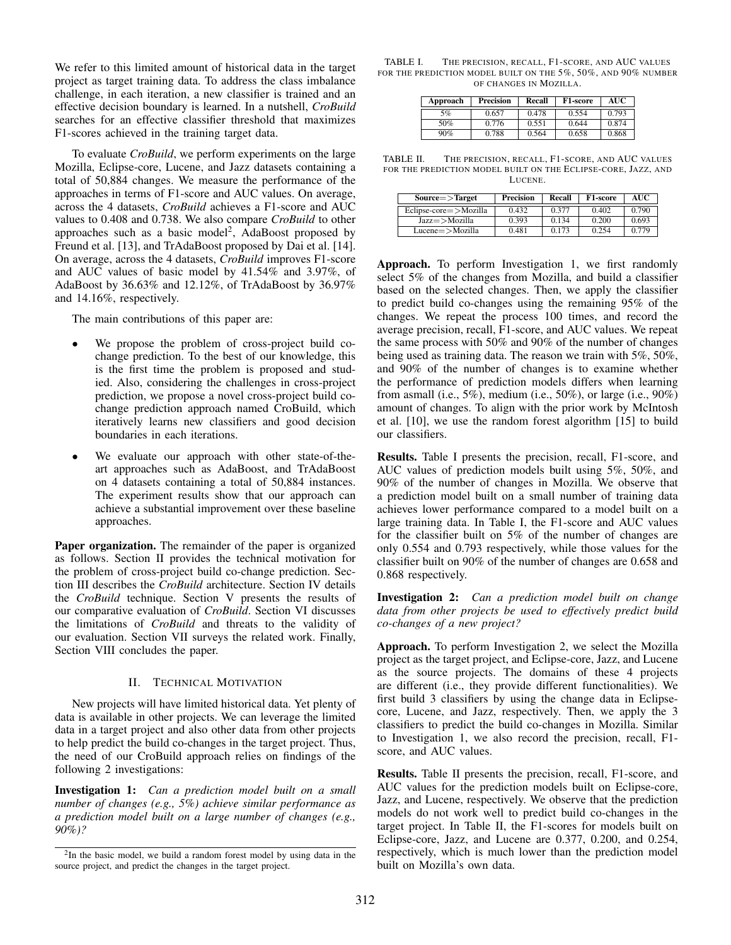We refer to this limited amount of historical data in the target project as target training data. To address the class imbalance challenge, in each iteration, a new classifier is trained and an effective decision boundary is learned. In a nutshell, *CroBuild* searches for an effective classifier threshold that maximizes F1-scores achieved in the training target data.

To evaluate *CroBuild*, we perform experiments on the large Mozilla, Eclipse-core, Lucene, and Jazz datasets containing a total of 50,884 changes. We measure the performance of the approaches in terms of F1-score and AUC values. On average, across the 4 datasets, *CroBuild* achieves a F1-score and AUC values to 0.408 and 0.738. We also compare *CroBuild* to other approaches such as a basic model<sup>2</sup>,  $\widehat{A}$ daBoost proposed by Freund et al. [13], and TrAdaBoost proposed by Dai et al. [14]. On average, across the 4 datasets, *CroBuild* improves F1-score and AUC values of basic model by 41.54% and 3.97%, of AdaBoost by 36.63% and 12.12%, of TrAdaBoost by 36.97% and 14.16%, respectively.

The main contributions of this paper are:

- We propose the problem of cross-project build cochange prediction. To the best of our knowledge, this is the first time the problem is proposed and studied. Also, considering the challenges in cross-project prediction, we propose a novel cross-project build cochange prediction approach named CroBuild, which iteratively learns new classifiers and good decision boundaries in each iterations.
- We evaluate our approach with other state-of-theart approaches such as AdaBoost, and TrAdaBoost on 4 datasets containing a total of 50,884 instances. The experiment results show that our approach can achieve a substantial improvement over these baseline approaches.

Paper organization. The remainder of the paper is organized as follows. Section II provides the technical motivation for the problem of cross-project build co-change prediction. Section III describes the *CroBuild* architecture. Section IV details the *CroBuild* technique. Section V presents the results of our comparative evaluation of *CroBuild*. Section VI discusses the limitations of *CroBuild* and threats to the validity of our evaluation. Section VII surveys the related work. Finally, Section VIII concludes the paper.

# II. TECHNICAL MOTIVATION

New projects will have limited historical data. Yet plenty of data is available in other projects. We can leverage the limited data in a target project and also other data from other projects to help predict the build co-changes in the target project. Thus, the need of our CroBuild approach relies on findings of the following 2 investigations:

Investigation 1: *Can a prediction model built on a small number of changes (e.g., 5%) achieve similar performance as a prediction model built on a large number of changes (e.g., 90%)?*

TABLE I. THE PRECISION, RECALL, F1-SCORE, AND AUC VALUES FOR THE PREDICTION MODEL BUILT ON THE 5%, 50%, AND 90% NUMBER OF CHANGES IN MOZILLA.

| Approach | Precision | Recall | <b>F1-score</b> | AUC   |
|----------|-----------|--------|-----------------|-------|
| 5%       | 0.657     | 0.478  | 0.554           | 0.793 |
| 50%      | 0.776     | 0.551  | 0.644           | 0.874 |
| 90%      | 0.788     | 0.564  | 0.658           | 0.868 |

TABLE II. THE PRECISION, RECALL, F1-SCORE, AND AUC VALUES FOR THE PREDICTION MODEL BUILT ON THE ECLIPSE-CORE, JAZZ, AND LUCENE.

| $Source$ = $>$ Target      | Precision | Recall | F1-score | <b>AUC</b> |
|----------------------------|-----------|--------|----------|------------|
| $Eclipse-core$ $>$ Mozilla | 0.432     | 0.377  | 0.402    | 0.790      |
| Jazz=>Mozilla              | 0.393     | 0.134  | 0.200    | 0.693      |
| $Lucene = > Mozilla$       | 0.481     | 0.173  | 0.254    | 0.779      |

Approach. To perform Investigation 1, we first randomly select 5% of the changes from Mozilla, and build a classifier based on the selected changes. Then, we apply the classifier to predict build co-changes using the remaining 95% of the changes. We repeat the process 100 times, and record the average precision, recall, F1-score, and AUC values. We repeat the same process with 50% and 90% of the number of changes being used as training data. The reason we train with 5%, 50%, and 90% of the number of changes is to examine whether the performance of prediction models differs when learning from asmall (i.e., 5%), medium (i.e., 50%), or large (i.e., 90%) amount of changes. To align with the prior work by McIntosh et al. [10], we use the random forest algorithm [15] to build our classifiers.

Results. Table I presents the precision, recall, F1-score, and AUC values of prediction models built using 5%, 50%, and 90% of the number of changes in Mozilla. We observe that a prediction model built on a small number of training data achieves lower performance compared to a model built on a large training data. In Table I, the F1-score and AUC values for the classifier built on 5% of the number of changes are only 0.554 and 0.793 respectively, while those values for the classifier built on 90% of the number of changes are 0.658 and 0.868 respectively.

Investigation 2: *Can a prediction model built on change data from other projects be used to effectively predict build co-changes of a new project?*

Approach. To perform Investigation 2, we select the Mozilla project as the target project, and Eclipse-core, Jazz, and Lucene as the source projects. The domains of these 4 projects are different (i.e., they provide different functionalities). We first build 3 classifiers by using the change data in Eclipsecore, Lucene, and Jazz, respectively. Then, we apply the 3 classifiers to predict the build co-changes in Mozilla. Similar to Investigation 1, we also record the precision, recall, F1 score, and AUC values.

Results. Table II presents the precision, recall, F1-score, and AUC values for the prediction models built on Eclipse-core, Jazz, and Lucene, respectively. We observe that the prediction models do not work well to predict build co-changes in the target project. In Table II, the F1-scores for models built on Eclipse-core, Jazz, and Lucene are 0.377, 0.200, and 0.254, respectively, which is much lower than the prediction model built on Mozilla's own data.

 $2$ In the basic model, we build a random forest model by using data in the source project, and predict the changes in the target project.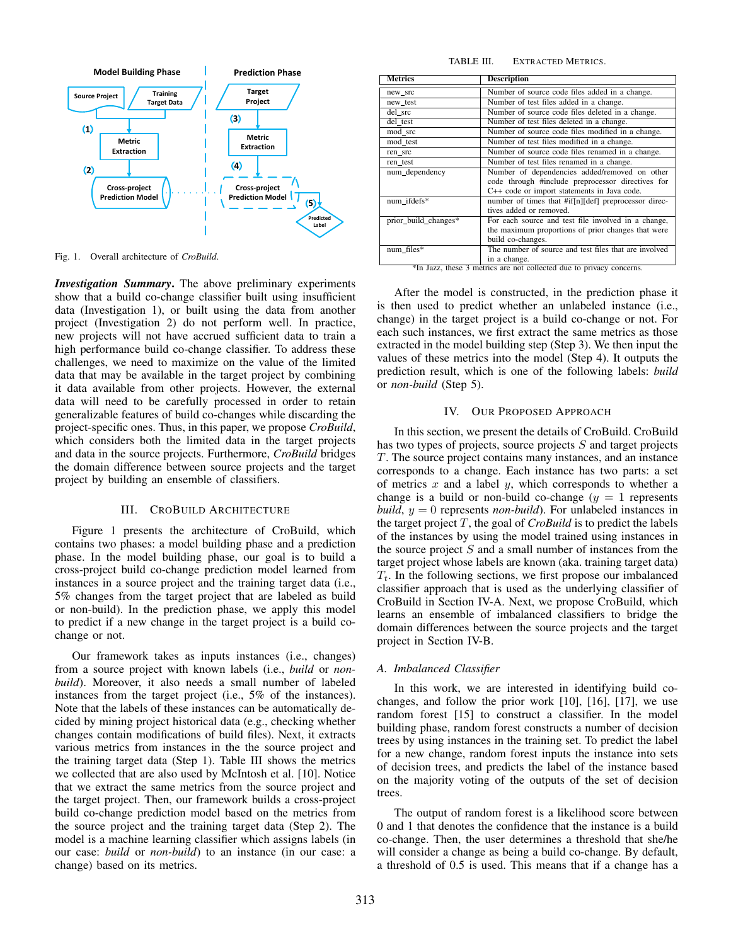

Fig. 1. Overall architecture of *CroBuild*.

*Investigation Summary*. The above preliminary experiments show that a build co-change classifier built using insufficient data (Investigation 1), or built using the data from another project (Investigation 2) do not perform well. In practice, new projects will not have accrued sufficient data to train a high performance build co-change classifier. To address these challenges, we need to maximize on the value of the limited data that may be available in the target project by combining it data available from other projects. However, the external data will need to be carefully processed in order to retain generalizable features of build co-changes while discarding the project-specific ones. Thus, in this paper, we propose *CroBuild*, which considers both the limited data in the target projects and data in the source projects. Furthermore, *CroBuild* bridges the domain difference between source projects and the target project by building an ensemble of classifiers.

#### III. CROBUILD ARCHITECTURE

Figure 1 presents the architecture of CroBuild, which contains two phases: a model building phase and a prediction phase. In the model building phase, our goal is to build a cross-project build co-change prediction model learned from instances in a source project and the training target data (i.e., 5% changes from the target project that are labeled as build or non-build). In the prediction phase, we apply this model to predict if a new change in the target project is a build cochange or not.

Our framework takes as inputs instances (i.e., changes) from a source project with known labels (i.e., *build* or *nonbuild*). Moreover, it also needs a small number of labeled instances from the target project (i.e., 5% of the instances). Note that the labels of these instances can be automatically decided by mining project historical data (e.g., checking whether changes contain modifications of build files). Next, it extracts various metrics from instances in the the source project and the training target data (Step 1). Table III shows the metrics we collected that are also used by McIntosh et al. [10]. Notice that we extract the same metrics from the source project and the target project. Then, our framework builds a cross-project build co-change prediction model based on the metrics from the source project and the training target data (Step 2). The model is a machine learning classifier which assigns labels (in our case: *build* or *non-build*) to an instance (in our case: a change) based on its metrics.

| <b>Metrics</b>       | <b>Description</b>                                                                                                                                |  |  |  |
|----------------------|---------------------------------------------------------------------------------------------------------------------------------------------------|--|--|--|
| new_src              | Number of source code files added in a change.                                                                                                    |  |  |  |
| new_test             | Number of test files added in a change.                                                                                                           |  |  |  |
| del src              | Number of source code files deleted in a change.                                                                                                  |  |  |  |
| del_test             | Number of test files deleted in a change.                                                                                                         |  |  |  |
| mod src              | Number of source code files modified in a change.                                                                                                 |  |  |  |
| mod test             | Number of test files modified in a change.                                                                                                        |  |  |  |
| ren src              | Number of source code files renamed in a change.                                                                                                  |  |  |  |
| ren test             | Number of test files renamed in a change.                                                                                                         |  |  |  |
| num_dependency       | Number of dependencies added/removed on other<br>code through #include preprocessor directives for<br>C++ code or import statements in Java code. |  |  |  |
| num ifdefs*          | number of times that #if[n][def] preprocessor direc-<br>tives added or removed.                                                                   |  |  |  |
| prior build changes* | For each source and test file involved in a change,<br>the maximum proportions of prior changes that were<br>build co-changes.                    |  |  |  |
| num_files*           | The number of source and test files that are involved<br>in a change                                                                              |  |  |  |

in a change. \*In Jazz, these 3 metrics are not collected due to privacy concerns.

After the model is constructed, in the prediction phase it is then used to predict whether an unlabeled instance (i.e., change) in the target project is a build co-change or not. For each such instances, we first extract the same metrics as those extracted in the model building step (Step 3). We then input the values of these metrics into the model (Step 4). It outputs the prediction result, which is one of the following labels: *build* or *non-build* (Step 5).

#### IV. OUR PROPOSED APPROACH

In this section, we present the details of CroBuild. CroBuild has two types of projects, source projects S and target projects T. The source project contains many instances, and an instance corresponds to a change. Each instance has two parts: a set of metrics  $x$  and a label  $y$ , which corresponds to whether a change is a build or non-build co-change  $(y = 1)$  represents *build*,  $y = 0$  represents *non-build*). For unlabeled instances in the target project  $T$ , the goal of  $C_{\text{roBuild}}$  is to predict the labels of the instances by using the model trained using instances in the source project  $S$  and a small number of instances from the target project whose labels are known (aka. training target data)  $T_t$ . In the following sections, we first propose our imbalanced classifier approach that is used as the underlying classifier of CroBuild in Section IV-A. Next, we propose CroBuild, which learns an ensemble of imbalanced classifiers to bridge the domain differences between the source projects and the target project in Section IV-B.

#### *A. Imbalanced Classifier*

In this work, we are interested in identifying build cochanges, and follow the prior work [10], [16], [17], we use random forest [15] to construct a classifier. In the model building phase, random forest constructs a number of decision trees by using instances in the training set. To predict the label for a new change, random forest inputs the instance into sets of decision trees, and predicts the label of the instance based on the majority voting of the outputs of the set of decision trees.

The output of random forest is a likelihood score between 0 and 1 that denotes the confidence that the instance is a build co-change. Then, the user determines a threshold that she/he will consider a change as being a build co-change. By default, a threshold of 0.5 is used. This means that if a change has a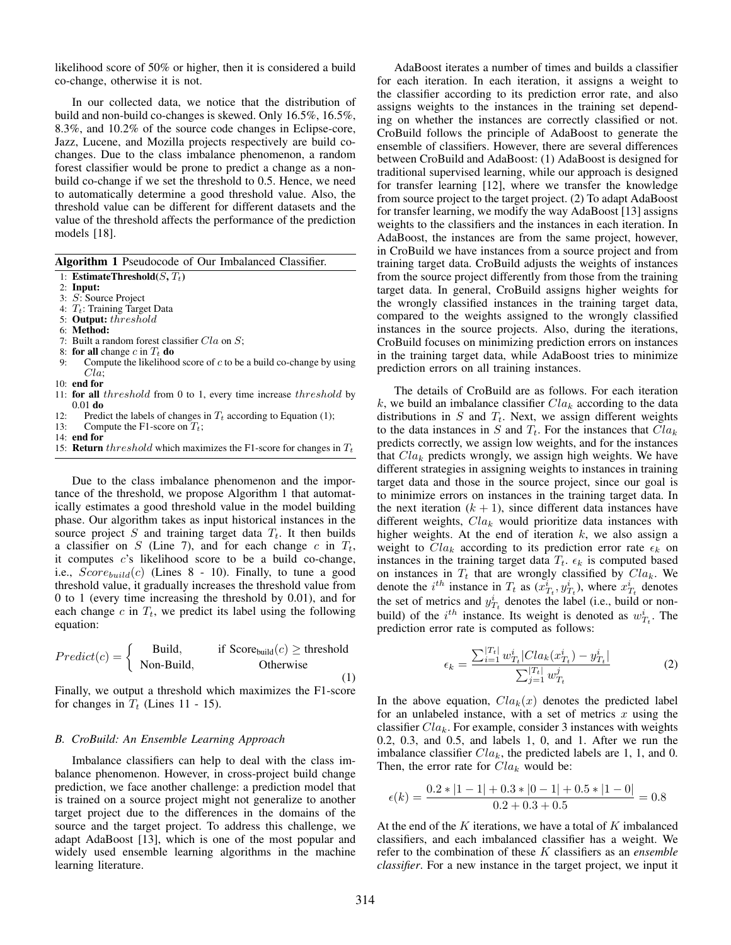likelihood score of 50% or higher, then it is considered a build co-change, otherwise it is not.

In our collected data, we notice that the distribution of build and non-build co-changes is skewed. Only 16.5%, 16.5%, 8.3%, and 10.2% of the source code changes in Eclipse-core, Jazz, Lucene, and Mozilla projects respectively are build cochanges. Due to the class imbalance phenomenon, a random forest classifier would be prone to predict a change as a nonbuild co-change if we set the threshold to 0.5. Hence, we need to automatically determine a good threshold value. Also, the threshold value can be different for different datasets and the value of the threshold affects the performance of the prediction models [18].

|  | Algorithm 1 Pseudocode of Our Imbalanced Classifier. |  |  |  |
|--|------------------------------------------------------|--|--|--|
|--|------------------------------------------------------|--|--|--|

- 1: EstimateThreshold $(S, T_t)$
- 2: Input:
- 3: S: Source Project
- 4:  $T_t$ : Training Target Data
- 5: Output: threshold
- 6: Method:
- 7: Built a random forest classifier  $Cla$  on  $S$ ;
- 8: for all change c in  $T_t$  do
- 9: Compute the likelihood score of  $c$  to be a build co-change by using Cla;
- 10: end for
- 11: for all threshold from 0 to 1, every time increase threshold by 0.01 do
- 12: Predict the labels of changes in  $T_t$  according to Equation (1);
- 13: Compute the F1-score on  $T_t$ ;
- 14: end for
- 15: **Return** threshold which maximizes the F1-score for changes in  $T_t$

Due to the class imbalance phenomenon and the importance of the threshold, we propose Algorithm 1 that automatically estimates a good threshold value in the model building phase. Our algorithm takes as input historical instances in the source project  $S$  and training target data  $T_t$ . It then builds a classifier on S (Line 7), and for each change c in  $T_t$ , it computes  $c$ 's likelihood score to be a build co-change, i.e.,  $Score_{build}(c)$  (Lines 8 - 10). Finally, to tune a good threshold value, it gradually increases the threshold value from 0 to 1 (every time increasing the threshold by 0.01), and for each change  $c$  in  $T_t$ , we predict its label using the following equation:

$$
Predict(c) = \begin{cases} \text{Build,} & \text{if Score}_{\text{build}}(c) \ge \text{threshold} \\ \text{Non-Build,} & \text{Otherwise} \end{cases}
$$
(1)

Finally, we output a threshold which maximizes the F1-score for changes in  $T_t$  (Lines 11 - 15).

#### *B. CroBuild: An Ensemble Learning Approach*

Imbalance classifiers can help to deal with the class imbalance phenomenon. However, in cross-project build change prediction, we face another challenge: a prediction model that is trained on a source project might not generalize to another target project due to the differences in the domains of the source and the target project. To address this challenge, we adapt AdaBoost [13], which is one of the most popular and widely used ensemble learning algorithms in the machine learning literature.

AdaBoost iterates a number of times and builds a classifier for each iteration. In each iteration, it assigns a weight to the classifier according to its prediction error rate, and also assigns weights to the instances in the training set depending on whether the instances are correctly classified or not. CroBuild follows the principle of AdaBoost to generate the ensemble of classifiers. However, there are several differences between CroBuild and AdaBoost: (1) AdaBoost is designed for traditional supervised learning, while our approach is designed for transfer learning [12], where we transfer the knowledge from source project to the target project. (2) To adapt AdaBoost for transfer learning, we modify the way AdaBoost [13] assigns weights to the classifiers and the instances in each iteration. In AdaBoost, the instances are from the same project, however, in CroBuild we have instances from a source project and from training target data. CroBuild adjusts the weights of instances from the source project differently from those from the training target data. In general, CroBuild assigns higher weights for the wrongly classified instances in the training target data, compared to the weights assigned to the wrongly classified instances in the source projects. Also, during the iterations, CroBuild focuses on minimizing prediction errors on instances in the training target data, while AdaBoost tries to minimize prediction errors on all training instances.

The details of CroBuild are as follows. For each iteration k, we build an imbalance classifier  $Cla_k$  according to the data distributions in  $S$  and  $T_t$ . Next, we assign different weights to the data instances in S and  $T_t$ . For the instances that  $Cla_k$ predicts correctly, we assign low weights, and for the instances that  $Cla_k$  predicts wrongly, we assign high weights. We have different strategies in assigning weights to instances in training target data and those in the source project, since our goal is to minimize errors on instances in the training target data. In the next iteration  $(k + 1)$ , since different data instances have different weights,  $Cla_k$  would prioritize data instances with higher weights. At the end of iteration  $k$ , we also assign a weight to  $Cla_k$  according to its prediction error rate  $\epsilon_k$  on instances in the training target data  $T_t$ .  $\epsilon_k$  is computed based on instances in  $T_t$  that are wrongly classified by  $Cla_k$ . We denote the *i*<sup>th</sup> instance in  $T_t$  as  $(\tilde{x}_{T_t}^i, y_{T_t}^i)$ , where  $\tilde{x}_{T_t}^i$  denotes the set of metrics and  $y_{T_t}^i$  denotes the label (i.e., build or nonbuild) of the  $i^{th}$  instance. Its weight is denoted as  $w_{T_t}^i$ . The prediction error rate is computed as follows:

$$
\epsilon_k = \frac{\sum_{i=1}^{|T_t|} w_{T_t}^i |Cla_k(x_{T_t}^i) - y_{T_t}^i|}{\sum_{j=1}^{|T_t|} w_{T_t}^j}
$$
(2)

In the above equation,  $Cla_k(x)$  denotes the predicted label for an unlabeled instance, with a set of metrics  $x$  using the classifier  $Cla_k$ . For example, consider 3 instances with weights 0.2, 0.3, and 0.5, and labels 1, 0, and 1. After we run the imbalance classifier  $Cla_k$ , the predicted labels are 1, 1, and 0. Then, the error rate for  $Cla_k$  would be:

$$
\epsilon(k) = \frac{0.2 * |1 - 1| + 0.3 * |0 - 1| + 0.5 * |1 - 0|}{0.2 + 0.3 + 0.5} = 0.8
$$

At the end of the  $K$  iterations, we have a total of  $K$  imbalanced classifiers, and each imbalanced classifier has a weight. We refer to the combination of these K classifiers as an *ensemble classifier*. For a new instance in the target project, we input it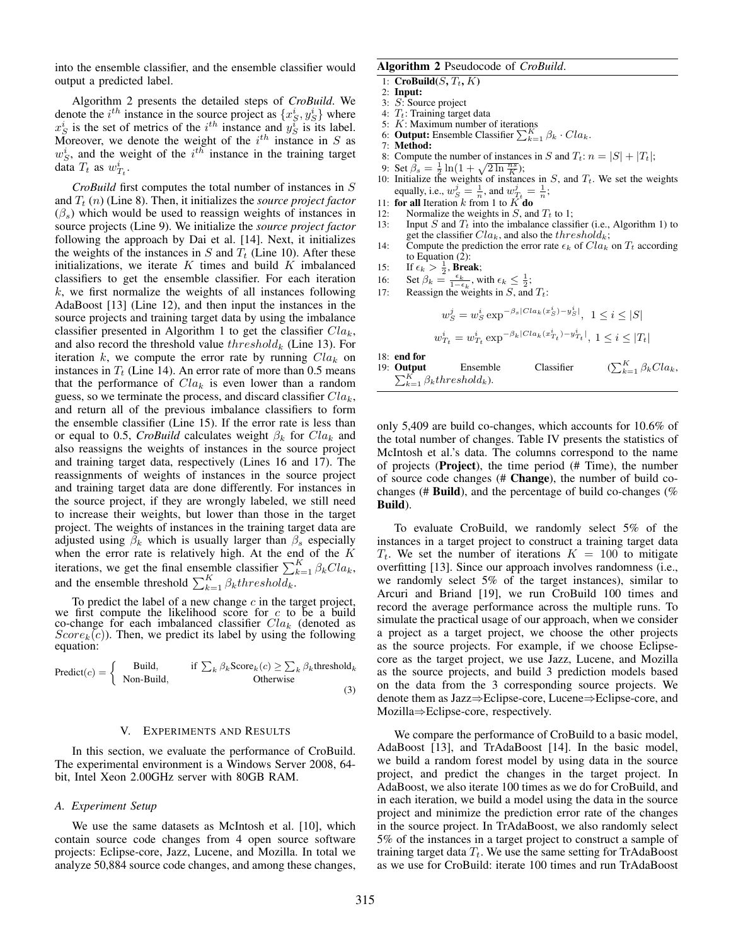into the ensemble classifier, and the ensemble classifier would output a predicted label.

Algorithm 2 presents the detailed steps of *CroBuild*. We denote the *i*<sup>th</sup> instance in the source project as  $\{x_S^i, y_S^i\}$  where  $x_S^i$  is the set of metrics of the  $i^{th}$  instance and  $y_S^i$  is its label. Moreover, we denote the weight of the  $i^{th}$  instance in S as  $w_S^i$ , and the weight of the  $i^{th}$  instance in the training target data  $T_t$  as  $w^i_{T_t}$ .

*CroBuild* first computes the total number of instances in S and  $T_t$  (n) (Line 8). Then, it initializes the *source project factor*  $(\beta_s)$  which would be used to reassign weights of instances in source projects (Line 9). We initialize the *source project factor* following the approach by Dai et al. [14]. Next, it initializes the weights of the instances in  $S$  and  $T_t$  (Line 10). After these initializations, we iterate  $K$  times and build  $K$  imbalanced classifiers to get the ensemble classifier. For each iteration  $k$ , we first normalize the weights of all instances following AdaBoost [13] (Line 12), and then input the instances in the source projects and training target data by using the imbalance classifier presented in Algorithm 1 to get the classifier  $Cla_k$ , and also record the threshold value  $threshold_k$  (Line 13). For iteration k, we compute the error rate by running  $Cla_k$  on instances in  $T_t$  (Line 14). An error rate of more than 0.5 means that the performance of  $Cla_k$  is even lower than a random guess, so we terminate the process, and discard classifier  $Cla_k$ , and return all of the previous imbalance classifiers to form the ensemble classifier (Line 15). If the error rate is less than or equal to 0.5, *CroBuild* calculates weight  $\beta_k$  for  $Cla_k$  and also reassigns the weights of instances in the source project and training target data, respectively (Lines 16 and 17). The reassignments of weights of instances in the source project and training target data are done differently. For instances in the source project, if they are wrongly labeled, we still need to increase their weights, but lower than those in the target project. The weights of instances in the training target data are adjusted using  $\beta_k$  which is usually larger than  $\beta_s$  especially when the error rate is relatively high. At the end of the  $K$ iterations, we get the final ensemble classifier  $\sum_{k=1}^{K} \beta_k C l a_k$ , and the ensemble threshold  $\sum_{k=1}^{K} \beta_k threshold_k$ .

To predict the label of a new change  $c$  in the target project, we first compute the likelihood score for  $c$  to be a build co-change for each imbalanced classifier  $Cla_k$  (denoted as  $Score<sub>k</sub>(c)$ ). Then, we predict its label by using the following equation:

$$
Predict(c) = \begin{cases} \text{Build,} & \text{if } \sum_{k} \beta_{k} \text{Score}_{k}(c) \ge \sum_{k} \beta_{k} \text{threshold}_{k} \\ \text{Non-Build,} & \text{Otherwise} \end{cases}
$$
(3)

#### V. EXPERIMENTS AND RESULTS

In this section, we evaluate the performance of CroBuild. The experimental environment is a Windows Server 2008, 64 bit, Intel Xeon 2.00GHz server with 80GB RAM.

# *A. Experiment Setup*

We use the same datasets as McIntosh et al. [10], which contain source code changes from 4 open source software projects: Eclipse-core, Jazz, Lucene, and Mozilla. In total we analyze 50,884 source code changes, and among these changes,

# Algorithm 2 Pseudocode of *CroBuild*.

- 1:  $$
- 2: Input:
- 3: S: Source project
- 4:  $T_t$ : Training target data
- 5:  $K:$  Maximum number of iterations
- 6: **Output:** Ensemble Classifier  $\sum_{k=1}^{K} \beta_k \cdot Cla_k$ .
- 7: Method:
- 8: Compute the number of instances in S and  $T_t$ :  $n = |S| + |T_t|$ ;
- 
- 9: Set  $\hat{\beta}_s = \frac{1}{2} \ln(1 + \sqrt{2 \ln \frac{n_s}{K}})$ ;<br>10: Initialize the weights of instances in S, and  $T_t$ . We set the weights equally, i.e.,  $w_S^j = \frac{1}{n}$ , and  $w_{T_t}^j = \frac{1}{n}$ ;
- 11: **for all Iteration** k from 1 to  $K^{\tau}$ **do**<br>12: Normalize the weights in S, and
- Normalize the weights in  $S$ , and  $T_t$  to 1;
- 13: Input S and  $T_t$  into the imbalance classifier (i.e., Algorithm 1) to get the classifier  $Cla_k$ , and also the  $threshold_k$ ;
- 14: Compute the prediction the error rate  $\epsilon_k$  of  $Cla_k$  on  $T_t$  according to Equation (2):
- 15: If  $\epsilon_k > \frac{1}{2}$ , Break;
- 16: Set  $\beta_k = \frac{\epsilon_k}{1-\epsilon_k}$ , with  $\epsilon_k \leq \frac{1}{2}$ ;
- 17: Reassign the weights in  $S$ , and  $T_t$ :

$$
w_S^j = w_S^i \exp^{-\beta_s |C l a_k(x_S^i) - y_S^i|}, \ 1 \le i \le |S|
$$
  

$$
w_{T_t}^i = w_{T_t}^i \exp^{-\beta_k |C l a_k(x_{T_t}^i) - y_{T_t}^i|}, \ 1 \le i \le |T_t|
$$

18: end for

19: Output Ensemble Classifier  $(\sum_{k=1}^{K} \beta_k C l a_k)$ **Output** Ensemble Classifier  $(\sum_{k=1}^{K} \beta_k Class)$ <br>  $\sum_{k=1}^{K} \beta_k threshold_k$ .

only 5,409 are build co-changes, which accounts for 10.6% of the total number of changes. Table IV presents the statistics of McIntosh et al.'s data. The columns correspond to the name of projects (Project), the time period (# Time), the number of source code changes (# Change), the number of build cochanges (# Build), and the percentage of build co-changes (% Build).

To evaluate CroBuild, we randomly select 5% of the instances in a target project to construct a training target data  $T_t$ . We set the number of iterations  $K = 100$  to mitigate overfitting [13]. Since our approach involves randomness (i.e., we randomly select 5% of the target instances), similar to Arcuri and Briand [19], we run CroBuild 100 times and record the average performance across the multiple runs. To simulate the practical usage of our approach, when we consider a project as a target project, we choose the other projects as the source projects. For example, if we choose Eclipsecore as the target project, we use Jazz, Lucene, and Mozilla as the source projects, and build 3 prediction models based on the data from the 3 corresponding source projects. We denote them as Jazz⇒Eclipse-core, Lucene⇒Eclipse-core, and Mozilla⇒Eclipse-core, respectively.

We compare the performance of CroBuild to a basic model, AdaBoost [13], and TrAdaBoost [14]. In the basic model, we build a random forest model by using data in the source project, and predict the changes in the target project. In AdaBoost, we also iterate 100 times as we do for CroBuild, and in each iteration, we build a model using the data in the source project and minimize the prediction error rate of the changes in the source project. In TrAdaBoost, we also randomly select 5% of the instances in a target project to construct a sample of training target data  $T_t$ . We use the same setting for TrAdaBoost as we use for CroBuild: iterate 100 times and run TrAdaBoost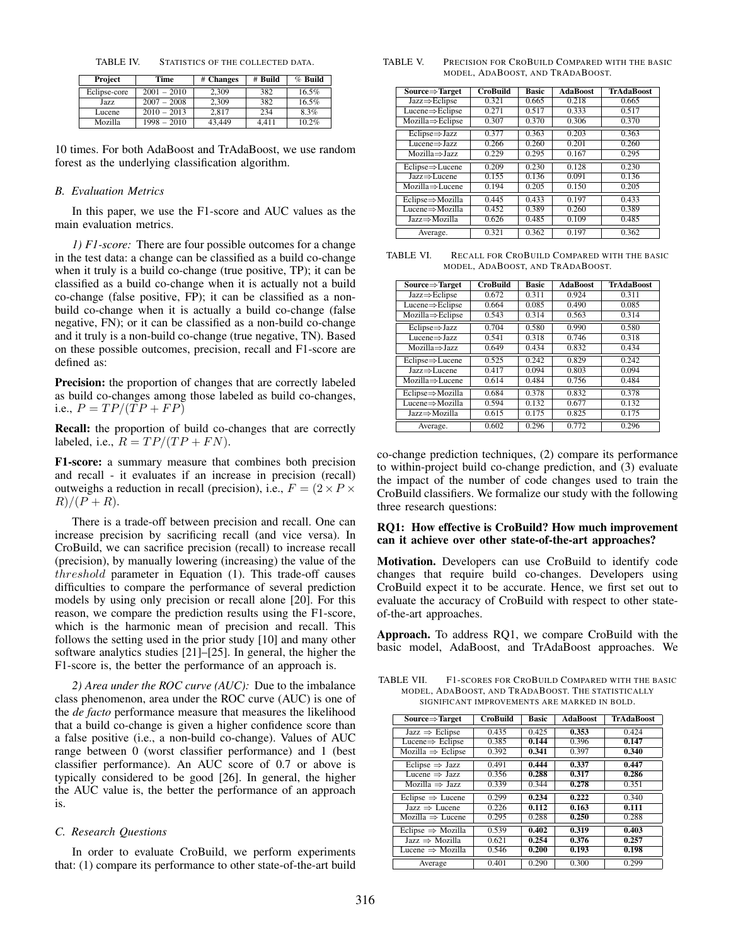TABLE IV. STATISTICS OF THE COLLECTED DATA.

| Project      | Time          | # Changes | # Build | $%$ Build |
|--------------|---------------|-----------|---------|-----------|
| Eclipse-core | $2001 - 2010$ | 2.309     | 382     | $16.5\%$  |
| Jazz         | $2007 - 2008$ | 2.309     | 382     | 16.5%     |
| Lucene       | $2010 - 2013$ | 2.817     | 234     | 8.3%      |
| Mozilla      | $1998 - 2010$ | 43.449    | 4.411   | 10.2%     |

10 times. For both AdaBoost and TrAdaBoost, we use random forest as the underlying classification algorithm.

#### *B. Evaluation Metrics*

In this paper, we use the F1-score and AUC values as the main evaluation metrics.

*1) F1-score:* There are four possible outcomes for a change in the test data: a change can be classified as a build co-change when it truly is a build co-change (true positive, TP); it can be classified as a build co-change when it is actually not a build co-change (false positive, FP); it can be classified as a nonbuild co-change when it is actually a build co-change (false negative, FN); or it can be classified as a non-build co-change and it truly is a non-build co-change (true negative, TN). Based on these possible outcomes, precision, recall and F1-score are defined as:

Precision: the proportion of changes that are correctly labeled as build co-changes among those labeled as build co-changes, i.e.,  $P = TP/(TP + FP)$ 

Recall: the proportion of build co-changes that are correctly labeled, i.e.,  $R = TP/(TP + FN)$ .

F1-score: a summary measure that combines both precision and recall - it evaluates if an increase in precision (recall) outweighs a reduction in recall (precision), i.e.,  $F = (2 \times P) \times$  $R)/(P + R).$ 

There is a trade-off between precision and recall. One can increase precision by sacrificing recall (and vice versa). In CroBuild, we can sacrifice precision (recall) to increase recall (precision), by manually lowering (increasing) the value of the threshold parameter in Equation (1). This trade-off causes difficulties to compare the performance of several prediction models by using only precision or recall alone [20]. For this reason, we compare the prediction results using the F1-score, which is the harmonic mean of precision and recall. This follows the setting used in the prior study [10] and many other software analytics studies [21]–[25]. In general, the higher the F1-score is, the better the performance of an approach is.

*2) Area under the ROC curve (AUC):* Due to the imbalance class phenomenon, area under the ROC curve (AUC) is one of the *de facto* performance measure that measures the likelihood that a build co-change is given a higher confidence score than a false positive (i.e., a non-build co-change). Values of AUC range between 0 (worst classifier performance) and 1 (best classifier performance). An AUC score of 0.7 or above is typically considered to be good [26]. In general, the higher the AUC value is, the better the performance of an approach is.

# *C. Research Questions*

In order to evaluate CroBuild, we perform experiments that: (1) compare its performance to other state-of-the-art build

TABLE V. PRECISION FOR CROBUILD COMPARED WITH THE BASIC MODEL, ADABOOST, AND TRADABOOST.

| $Source \Rightarrow Target$         | <b>CroBuild</b> | <b>Basic</b> | <b>AdaBoost</b> | <b>TrAdaBoost</b> |
|-------------------------------------|-----------------|--------------|-----------------|-------------------|
| $Jazz \Rightarrow$ Eclipse          | 0.321           | 0.665        | 0.218           | 0.665             |
| $Lucene \Rightarrow$ Eclipse        | 0.271           | 0.517        | 0.333           | 0.517             |
| $Mozilla \Rightarrow$ Eclipse       | 0.307           | 0.370        | 0.306           | 0.370             |
| $Eclipse \Rightarrow Jazz$          | 0.377           | 0.363        | 0.203           | 0.363             |
| $Lucene \Rightarrow \text{Jazz}$    | 0.266           | 0.260        | 0.201           | 0.260             |
| $Mozilla \Rightarrow \text{Jazz}$   | 0.229           | 0.295        | 0.167           | 0.295             |
| $Eclipse \Rightarrow Lucene$        | 0.209           | 0.230        | 0.128           | 0.230             |
| $Jazz \Rightarrow Lucene$           | 0.155           | 0.136        | 0.091           | 0.136             |
| $Mozilla \Rightarrow Lucene$        | 0.194           | 0.205        | 0.150           | 0.205             |
| Eclipse⇒Mozilla                     | 0.445           | 0.433        | 0.197           | 0.433             |
| $Lucene \Rightarrow \text{Mozilla}$ | 0.452           | 0.389        | 0.260           | 0.389             |
| Jazz⇒Mozilla                        | 0.626           | 0.485        | 0.109           | 0.485             |
| Average.                            | 0.321           | 0.362        | 0.197           | 0.362             |

TABLE VI. RECALL FOR CROBUILD COMPARED WITH THE BASIC MODEL, ADABOOST, AND TRADABOOST.

| $Source \Rightarrow Target$       | <b>CroBuild</b> | <b>Basic</b> | <b>AdaBoost</b> | <b>TrAdaBoost</b> |
|-----------------------------------|-----------------|--------------|-----------------|-------------------|
| $Jazz \Rightarrow$ Eclipse        | 0.672           | 0.311        | 0.924           | 0.311             |
| $Lucene \Rightarrow$ Eclipse      | 0.664           | 0.085        | 0.490           | 0.085             |
| $Mozilla \Rightarrow$ Eclipse     | 0.543           | 0.314        | 0.563           | 0.314             |
| $Eclipse \Rightarrow \text{Jazz}$ | 0.704           | 0.580        | 0.990           | 0.580             |
| $Lucene \Rightarrow \text{Jazz}$  | 0.541           | 0.318        | 0.746           | 0.318             |
| $Mozilla \Rightarrow \text{Jazz}$ | 0.649           | 0.434        | 0.832           | 0.434             |
| $Eclipse \Rightarrow Lucene$      | 0.525           | 0.242        | 0.829           | 0.242             |
| $Jazz \Rightarrow Lucene$         | 0.417           | 0.094        | 0.803           | 0.094             |
| $Mozilla \Rightarrow Lucene$      | 0.614           | 0.484        | 0.756           | 0.484             |
| Eclipse⇒Mozilla                   | 0.684           | 0.378        | 0.832           | 0.378             |
| Lucene $\Rightarrow$ Mozilla      | 0.594           | 0.132        | 0.677           | 0.132             |
| Jazz⇒Mozilla                      | 0.615           | 0.175        | 0.825           | 0.175             |
| Average.                          | 0.602           | 0.296        | 0.772           | 0.296             |

co-change prediction techniques, (2) compare its performance to within-project build co-change prediction, and (3) evaluate the impact of the number of code changes used to train the CroBuild classifiers. We formalize our study with the following three research questions:

# RQ1: How effective is CroBuild? How much improvement can it achieve over other state-of-the-art approaches?

Motivation. Developers can use CroBuild to identify code changes that require build co-changes. Developers using CroBuild expect it to be accurate. Hence, we first set out to evaluate the accuracy of CroBuild with respect to other stateof-the-art approaches.

Approach. To address RQ1, we compare CroBuild with the basic model, AdaBoost, and TrAdaBoost approaches. We

TABLE VII. F1-SCORES FOR CROBUILD COMPARED WITH THE BASIC MODEL, ADABOOST, AND TRADABOOST. THE STATISTICALLY SIGNIFICANT IMPROVEMENTS ARE MARKED IN BOLD.

| $Source \Rightarrow Target$   | <b>CroBuild</b> | <b>Basic</b> | <b>AdaBoost</b> | <b>TrAdaBoost</b> |
|-------------------------------|-----------------|--------------|-----------------|-------------------|
| Jazz $\Rightarrow$ Eclipse    | 0.435           | 0.425        | 0.353           | 0.424             |
| Lucene $\Rightarrow$ Eclipse  | 0.385           | 0.144        | 0.396           | 0.147             |
| $Mozilla \Rightarrow Eclipse$ | 0.392           | 0.341        | 0.397           | 0.340             |
| Eclipse $\Rightarrow$ Jazz    | 0.491           | 0.444        | 0.337           | 0.447             |
| Lucene $\Rightarrow$ Jazz     | 0.356           | 0.288        | 0.317           | 0.286             |
| $Mozilla \Rightarrow Jazz$    | 0.339           | 0.344        | 0.278           | 0.351             |
| Eclipse $\Rightarrow$ Lucene  | 0.299           | 0.234        | 0.222           | 0.340             |
| Jazz $\Rightarrow$ Lucene     | 0.226           | 0.112        | 0.163           | 0.111             |
| Mozilla $\Rightarrow$ Lucene  | 0.295           | 0.288        | 0.250           | 0.288             |
| Eclipse $\Rightarrow$ Mozilla | 0.539           | 0.402        | 0.319           | 0.403             |
| Jazz $\Rightarrow$ Mozilla    | 0.621           | 0.254        | 0.376           | 0.257             |
| Lucene $\Rightarrow$ Mozilla  | 0.546           | 0.200        | 0.193           | 0.198             |
| Average                       | 0.401           | 0.290        | 0.300           | 0.299             |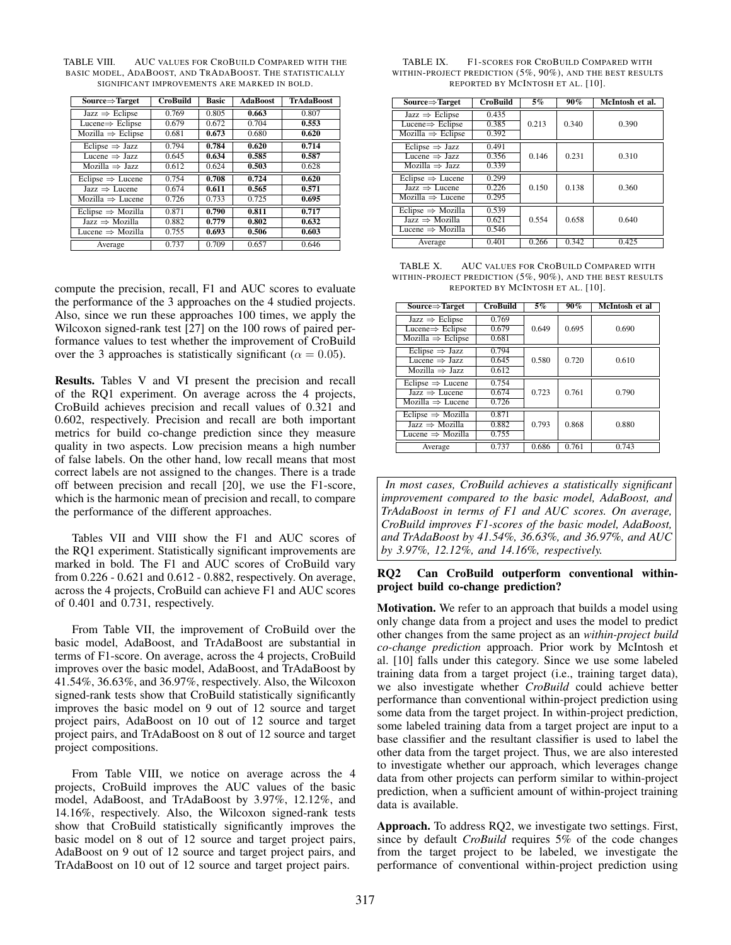| $Source \Rightarrow Target$   | <b>CroBuild</b> | <b>Basic</b> | <b>AdaBoost</b> | <b>TrAdaBoost</b> |
|-------------------------------|-----------------|--------------|-----------------|-------------------|
| Jazz $\Rightarrow$ Eclipse    | 0.769           | 0.805        | 0.663           | 0.807             |
| Lucene $\Rightarrow$ Eclipse  | 0.679           | 0.672        | 0.704           | 0.553             |
| Mozilla $\Rightarrow$ Eclipse | 0.681           | 0.673        | 0.680           | 0.620             |
| Eclipse $\Rightarrow$ Jazz    | 0.794           | 0.784        | 0.620           | 0.714             |
| Lucene $\Rightarrow$ Jazz     | 0.645           | 0.634        | 0.585           | 0.587             |
| Mozilla $\Rightarrow$ Jazz    | 0.612           | 0.624        | 0.503           | 0.628             |
| Eclipse $\Rightarrow$ Lucene  | 0.754           | 0.708        | 0.724           | 0.620             |
| Jazz $\Rightarrow$ Lucene     | 0.674           | 0.611        | 0.565           | 0.571             |
| Mozilla $\Rightarrow$ Lucene  | 0.726           | 0.733        | 0.725           | 0.695             |
| Eclipse $\Rightarrow$ Mozilla | 0.871           | 0.790        | 0.811           | 0.717             |
| Jazz $\Rightarrow$ Mozilla    | 0.882           | 0.779        | 0.802           | 0.632             |
| Lucene $\Rightarrow$ Mozilla  | 0.755           | 0.693        | 0.506           | 0.603             |
| Average                       | 0.737           | 0.709        | 0.657           | 0.646             |

TABLE VIII. AUC VALUES FOR CROBUILD COMPARED WITH THE BASIC MODEL, ADABOOST, AND TRADABOOST. THE STATISTICALLY SIGNIFICANT IMPROVEMENTS ARE MARKED IN BOLD.

compute the precision, recall, F1 and AUC scores to evaluate the performance of the 3 approaches on the 4 studied projects. Also, since we run these approaches 100 times, we apply the Wilcoxon signed-rank test [27] on the 100 rows of paired performance values to test whether the improvement of CroBuild over the 3 approaches is statistically significant ( $\alpha = 0.05$ ).

Results. Tables V and VI present the precision and recall of the RQ1 experiment. On average across the 4 projects, CroBuild achieves precision and recall values of 0.321 and 0.602, respectively. Precision and recall are both important metrics for build co-change prediction since they measure quality in two aspects. Low precision means a high number of false labels. On the other hand, low recall means that most correct labels are not assigned to the changes. There is a trade off between precision and recall [20], we use the F1-score, which is the harmonic mean of precision and recall, to compare the performance of the different approaches.

Tables VII and VIII show the F1 and AUC scores of the RQ1 experiment. Statistically significant improvements are marked in bold. The F1 and AUC scores of CroBuild vary from 0.226 - 0.621 and 0.612 - 0.882, respectively. On average, across the 4 projects, CroBuild can achieve F1 and AUC scores of 0.401 and 0.731, respectively.

From Table VII, the improvement of CroBuild over the basic model, AdaBoost, and TrAdaBoost are substantial in terms of F1-score. On average, across the 4 projects, CroBuild improves over the basic model, AdaBoost, and TrAdaBoost by 41.54%, 36.63%, and 36.97%, respectively. Also, the Wilcoxon signed-rank tests show that CroBuild statistically significantly improves the basic model on 9 out of 12 source and target project pairs, AdaBoost on 10 out of 12 source and target project pairs, and TrAdaBoost on 8 out of 12 source and target project compositions.

From Table VIII, we notice on average across the 4 projects, CroBuild improves the AUC values of the basic model, AdaBoost, and TrAdaBoost by 3.97%, 12.12%, and 14.16%, respectively. Also, the Wilcoxon signed-rank tests show that CroBuild statistically significantly improves the basic model on 8 out of 12 source and target project pairs, AdaBoost on 9 out of 12 source and target project pairs, and TrAdaBoost on 10 out of 12 source and target project pairs.

| TABLE IX. | F1-SCORES FOR CROBUILD COMPARED WITH                           |
|-----------|----------------------------------------------------------------|
|           | within-project prediction $(5\%, 90\%)$ , and the best results |
|           | REPORTED BY MCINTOSH ET AL. [10].                              |

| $Source \Rightarrow Target$       | <b>CroBuild</b> | 5%    | 90%   | McIntosh et al. |
|-----------------------------------|-----------------|-------|-------|-----------------|
| Jazz $\Rightarrow$ Eclipse        | 0.435           |       |       |                 |
| Lucene $\Rightarrow$ Eclipse      | 0.385           | 0.213 | 0.340 | 0.390           |
| Mozilla $\Rightarrow$ Eclipse     | 0.392           |       |       |                 |
| Eclipse $\Rightarrow$ Jazz        | 0.491           |       |       |                 |
| Lucene $\Rightarrow$ Jazz         | 0.356           | 0.146 | 0.231 | 0.310           |
| $Mozilla \Rightarrow Jazz$        | 0.339           |       |       |                 |
| Eclipse $\Rightarrow$ Lucene      | 0.299           |       |       |                 |
| $Jazz \Rightarrow Lucene$         | 0.226           | 0.150 | 0.138 | 0.360           |
| Mozilla $\Rightarrow$ Lucene      | 0.295           |       |       |                 |
| Eclipse $\Rightarrow$ Mozilla     | 0.539           |       |       |                 |
| $Jazz \Rightarrow \text{Mozilla}$ | 0.621           | 0.554 | 0.658 | 0.640           |
| Lucene $\Rightarrow$ Mozilla      | 0.546           |       |       |                 |
| Average                           | 0.401           | 0.266 | 0.342 | 0.425           |

TABLE X. AUC VALUES FOR CROBUILD COMPARED WITH WITHIN-PROJECT PREDICTION (5%, 90%), AND THE BEST RESULTS REPORTED BY MCINTOSH ET AL. [10].

| $Source \Rightarrow Target$       | <b>CroBuild</b> | $5\%$ | $90\%$ | McIntosh et al |
|-----------------------------------|-----------------|-------|--------|----------------|
| Jazz $\Rightarrow$ Eclipse        | 0.769           |       |        |                |
| Lucene $\Rightarrow$ Eclipse      | 0.679           | 0.649 | 0.695  | 0.690          |
| $Mozilla \Rightarrow Eclipse$     | 0.681           |       |        |                |
| Eclipse $\Rightarrow$ Jazz        | 0.794           |       |        |                |
| Lucene $\Rightarrow$ Jazz         | 0.645           | 0.580 | 0.720  | 0.610          |
| Mozilla $\Rightarrow$ Jazz        | 0.612           |       |        |                |
| Eclipse $\Rightarrow$ Lucene      | 0.754           |       |        |                |
| $Jazz \Rightarrow Lucene$         | 0.674           | 0.723 | 0.761  | 0.790          |
| Mozilla $\Rightarrow$ Lucene      | 0.726           |       |        |                |
| Eclipse $\Rightarrow$ Mozilla     | 0.871           |       |        |                |
| $Jazz \Rightarrow \text{Mozilla}$ | 0.882           | 0.793 | 0.868  | 0.880          |
| Lucene $\Rightarrow$ Mozilla      | 0.755           |       |        |                |
| Average                           | 0.737           | 0.686 | 0.761  | 0.743          |

*In most cases, CroBuild achieves a statistically significant improvement compared to the basic model, AdaBoost, and TrAdaBoost in terms of F1 and AUC scores. On average, CroBuild improves F1-scores of the basic model, AdaBoost, and TrAdaBoost by 41.54%, 36.63%, and 36.97%, and AUC by 3.97%, 12.12%, and 14.16%, respectively.*

# RQ2 Can CroBuild outperform conventional withinproject build co-change prediction?

Motivation. We refer to an approach that builds a model using only change data from a project and uses the model to predict other changes from the same project as an *within-project build co-change prediction* approach. Prior work by McIntosh et al. [10] falls under this category. Since we use some labeled training data from a target project (i.e., training target data), we also investigate whether *CroBuild* could achieve better performance than conventional within-project prediction using some data from the target project. In within-project prediction, some labeled training data from a target project are input to a base classifier and the resultant classifier is used to label the other data from the target project. Thus, we are also interested to investigate whether our approach, which leverages change data from other projects can perform similar to within-project prediction, when a sufficient amount of within-project training data is available.

Approach. To address RQ2, we investigate two settings. First, since by default *CroBuild* requires 5% of the code changes from the target project to be labeled, we investigate the performance of conventional within-project prediction using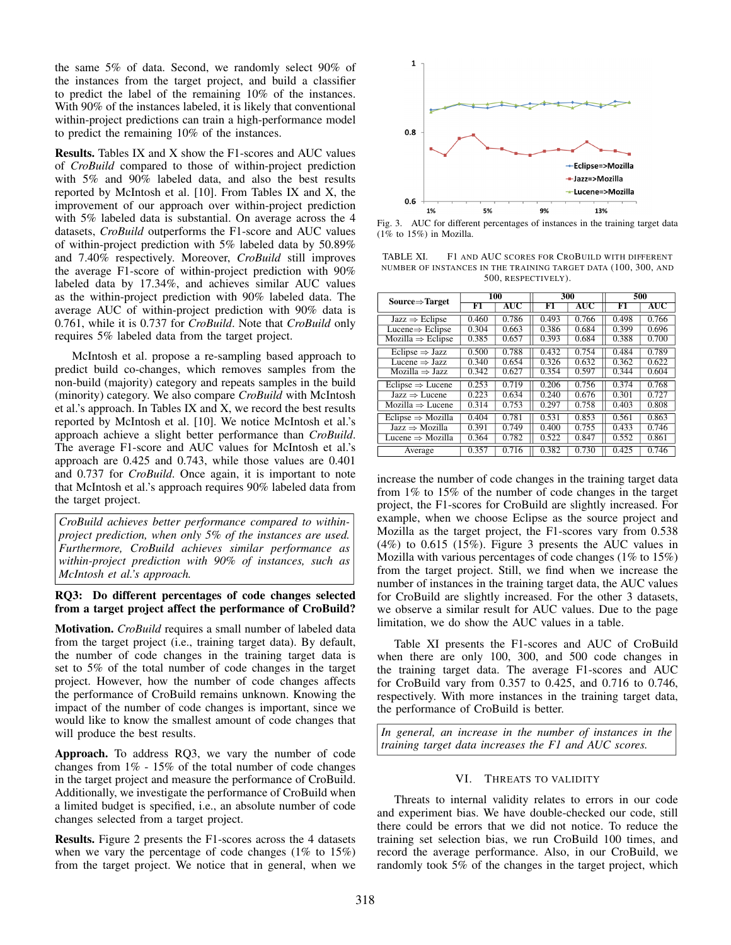the same 5% of data. Second, we randomly select 90% of the instances from the target project, and build a classifier to predict the label of the remaining 10% of the instances. With 90% of the instances labeled, it is likely that conventional within-project predictions can train a high-performance model to predict the remaining 10% of the instances.

Results. Tables IX and X show the F1-scores and AUC values of *CroBuild* compared to those of within-project prediction with 5% and 90% labeled data, and also the best results reported by McIntosh et al. [10]. From Tables IX and X, the improvement of our approach over within-project prediction with 5% labeled data is substantial. On average across the 4 datasets, *CroBuild* outperforms the F1-score and AUC values of within-project prediction with 5% labeled data by 50.89% and 7.40% respectively. Moreover, *CroBuild* still improves the average F1-score of within-project prediction with 90% labeled data by 17.34%, and achieves similar AUC values as the within-project prediction with 90% labeled data. The average AUC of within-project prediction with 90% data is 0.761, while it is 0.737 for *CroBuild*. Note that *CroBuild* only requires 5% labeled data from the target project.

McIntosh et al. propose a re-sampling based approach to predict build co-changes, which removes samples from the non-build (majority) category and repeats samples in the build (minority) category. We also compare *CroBuild* with McIntosh et al.'s approach. In Tables IX and X, we record the best results reported by McIntosh et al. [10]. We notice McIntosh et al.'s approach achieve a slight better performance than *CroBuild*. The average F1-score and AUC values for McIntosh et al.'s approach are 0.425 and 0.743, while those values are 0.401 and 0.737 for *CroBuild*. Once again, it is important to note that McIntosh et al.'s approach requires 90% labeled data from the target project.

*CroBuild achieves better performance compared to withinproject prediction, when only 5% of the instances are used. Furthermore, CroBuild achieves similar performance as within-project prediction with 90% of instances, such as McIntosh et al.'s approach.*

# RQ3: Do different percentages of code changes selected from a target project affect the performance of CroBuild?

Motivation. *CroBuild* requires a small number of labeled data from the target project (i.e., training target data). By default, the number of code changes in the training target data is set to 5% of the total number of code changes in the target project. However, how the number of code changes affects the performance of CroBuild remains unknown. Knowing the impact of the number of code changes is important, since we would like to know the smallest amount of code changes that will produce the best results.

Approach. To address RQ3, we vary the number of code changes from 1% - 15% of the total number of code changes in the target project and measure the performance of CroBuild. Additionally, we investigate the performance of CroBuild when a limited budget is specified, i.e., an absolute number of code changes selected from a target project.

Results. Figure 2 presents the F1-scores across the 4 datasets when we vary the percentage of code changes (1% to 15%) from the target project. We notice that in general, when we



Fig. 3. AUC for different percentages of instances in the training target data  $(1\%$  to  $15\%)$  in Mozilla.

TABLE XI. F1 AND AUC SCORES FOR CROBUILD WITH DIFFERENT NUMBER OF INSTANCES IN THE TRAINING TARGET DATA (100, 300, AND 500, RESPECTIVELY).

| Source $\Rightarrow$ Target       | 100   |       | 300   |       | 500   |       |
|-----------------------------------|-------|-------|-------|-------|-------|-------|
|                                   | F1    | AUC   | F1    | AUC   | F1    | AUC   |
| Jazz $\Rightarrow$ Eclipse        | 0.460 | 0.786 | 0.493 | 0.766 | 0.498 | 0.766 |
| Lucene $\Rightarrow$ Eclipse      | 0.304 | 0.663 | 0.386 | 0.684 | 0.399 | 0.696 |
| $Mozilla \Rightarrow Eclipse$     | 0.385 | 0.657 | 0.393 | 0.684 | 0.388 | 0.700 |
| Eclipse $\Rightarrow$ Jazz        | 0.500 | 0.788 | 0.432 | 0.754 | 0.484 | 0.789 |
| Lucene $\Rightarrow$ Jazz         | 0.340 | 0.654 | 0.326 | 0.632 | 0.362 | 0.622 |
| $Mozilla \Rightarrow Jazz$        | 0.342 | 0.627 | 0.354 | 0.597 | 0.344 | 0.604 |
| Eclipse $\Rightarrow$ Lucene      | 0.253 | 0.719 | 0.206 | 0.756 | 0.374 | 0.768 |
| Jazz $\Rightarrow$ Lucene         | 0.223 | 0.634 | 0.240 | 0.676 | 0.301 | 0.727 |
| Mozilla $\Rightarrow$ Lucene      | 0.314 | 0.753 | 0.297 | 0.758 | 0.403 | 0.808 |
| Eclipse $\Rightarrow$ Mozilla     | 0.404 | 0.781 | 0.531 | 0.853 | 0.561 | 0.863 |
| $Jazz \Rightarrow \text{Mozilla}$ | 0.391 | 0.749 | 0.400 | 0.755 | 0.433 | 0.746 |
| Lucene $\Rightarrow$ Mozilla      | 0.364 | 0.782 | 0.522 | 0.847 | 0.552 | 0.861 |
| Average                           | 0.357 | 0.716 | 0.382 | 0.730 | 0.425 | 0.746 |

increase the number of code changes in the training target data from 1% to 15% of the number of code changes in the target project, the F1-scores for CroBuild are slightly increased. For example, when we choose Eclipse as the source project and Mozilla as the target project, the F1-scores vary from 0.538 (4%) to 0.615 (15%). Figure 3 presents the AUC values in Mozilla with various percentages of code changes (1% to 15%) from the target project. Still, we find when we increase the number of instances in the training target data, the AUC values for CroBuild are slightly increased. For the other 3 datasets, we observe a similar result for AUC values. Due to the page limitation, we do show the AUC values in a table.

Table XI presents the F1-scores and AUC of CroBuild when there are only 100, 300, and 500 code changes in the training target data. The average F1-scores and AUC for CroBuild vary from 0.357 to 0.425, and 0.716 to 0.746, respectively. With more instances in the training target data, the performance of CroBuild is better.

*In general, an increase in the number of instances in the training target data increases the F1 and AUC scores.*

### VI. THREATS TO VALIDITY

Threats to internal validity relates to errors in our code and experiment bias. We have double-checked our code, still there could be errors that we did not notice. To reduce the training set selection bias, we run CroBuild 100 times, and record the average performance. Also, in our CroBuild, we randomly took 5% of the changes in the target project, which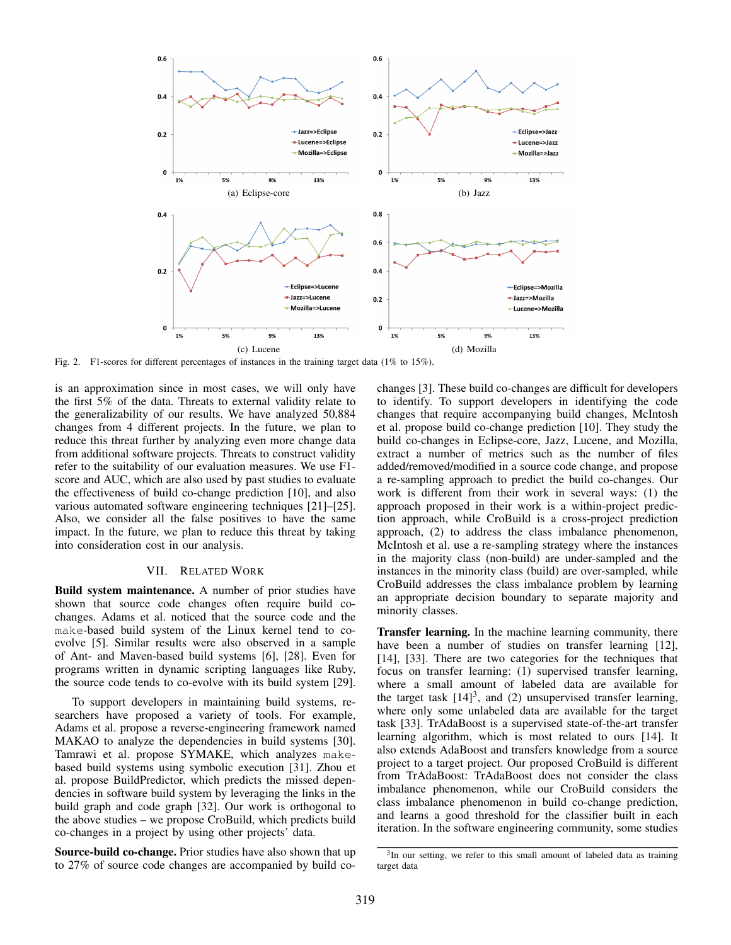

Fig. 2. F1-scores for different percentages of instances in the training target data (1% to 15%).

is an approximation since in most cases, we will only have the first 5% of the data. Threats to external validity relate to the generalizability of our results. We have analyzed 50,884 changes from 4 different projects. In the future, we plan to reduce this threat further by analyzing even more change data from additional software projects. Threats to construct validity refer to the suitability of our evaluation measures. We use F1 score and AUC, which are also used by past studies to evaluate the effectiveness of build co-change prediction [10], and also various automated software engineering techniques [21]–[25]. Also, we consider all the false positives to have the same impact. In the future, we plan to reduce this threat by taking into consideration cost in our analysis.

# VII. RELATED WORK

Build system maintenance. A number of prior studies have shown that source code changes often require build cochanges. Adams et al. noticed that the source code and the make-based build system of the Linux kernel tend to coevolve [5]. Similar results were also observed in a sample of Ant- and Maven-based build systems [6], [28]. Even for programs written in dynamic scripting languages like Ruby, the source code tends to co-evolve with its build system [29].

To support developers in maintaining build systems, researchers have proposed a variety of tools. For example, Adams et al. propose a reverse-engineering framework named MAKAO to analyze the dependencies in build systems [30]. Tamrawi et al. propose SYMAKE, which analyzes makebased build systems using symbolic execution [31]. Zhou et al. propose BuildPredictor, which predicts the missed dependencies in software build system by leveraging the links in the build graph and code graph [32]. Our work is orthogonal to the above studies – we propose CroBuild, which predicts build co-changes in a project by using other projects' data.

Source-build co-change. Prior studies have also shown that up to 27% of source code changes are accompanied by build cochanges [3]. These build co-changes are difficult for developers to identify. To support developers in identifying the code changes that require accompanying build changes, McIntosh et al. propose build co-change prediction [10]. They study the build co-changes in Eclipse-core, Jazz, Lucene, and Mozilla, extract a number of metrics such as the number of files added/removed/modified in a source code change, and propose a re-sampling approach to predict the build co-changes. Our work is different from their work in several ways: (1) the approach proposed in their work is a within-project prediction approach, while CroBuild is a cross-project prediction approach, (2) to address the class imbalance phenomenon, McIntosh et al. use a re-sampling strategy where the instances in the majority class (non-build) are under-sampled and the instances in the minority class (build) are over-sampled, while CroBuild addresses the class imbalance problem by learning an appropriate decision boundary to separate majority and minority classes.

Transfer learning. In the machine learning community, there have been a number of studies on transfer learning [12], [14], [33]. There are two categories for the techniques that focus on transfer learning: (1) supervised transfer learning, where a small amount of labeled data are available for the target task  $[14]$ <sup>3</sup>, and (2) unsupervised transfer learning, where only some unlabeled data are available for the target task [33]. TrAdaBoost is a supervised state-of-the-art transfer learning algorithm, which is most related to ours [14]. It also extends AdaBoost and transfers knowledge from a source project to a target project. Our proposed CroBuild is different from TrAdaBoost: TrAdaBoost does not consider the class imbalance phenomenon, while our CroBuild considers the class imbalance phenomenon in build co-change prediction, and learns a good threshold for the classifier built in each iteration. In the software engineering community, some studies

<sup>&</sup>lt;sup>3</sup>In our setting, we refer to this small amount of labeled data as training target data